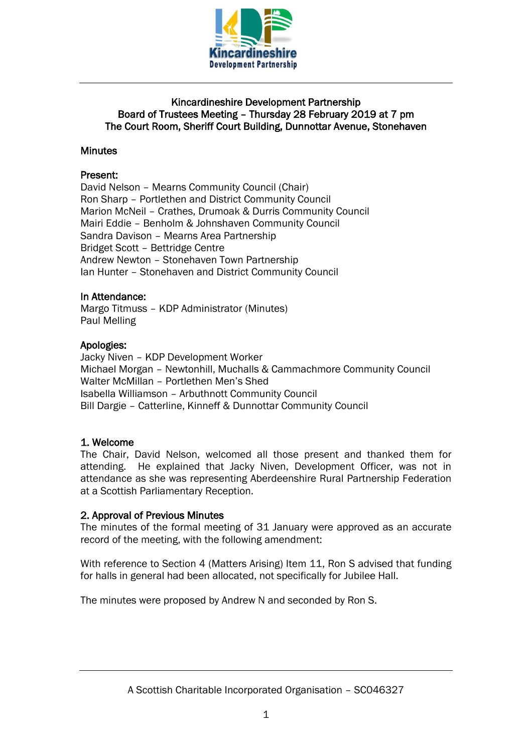

## Kincardineshire Development Partnership Board of Trustees Meeting – Thursday 28 February 2019 at 7 pm The Court Room, Sheriff Court Building, Dunnottar Avenue, Stonehaven

## **Minutes**

## Present:

David Nelson – Mearns Community Council (Chair) Ron Sharp – Portlethen and District Community Council Marion McNeil – Crathes, Drumoak & Durris Community Council Mairi Eddie – Benholm & Johnshaven Community Council Sandra Davison – Mearns Area Partnership Bridget Scott – Bettridge Centre Andrew Newton – Stonehaven Town Partnership Ian Hunter – Stonehaven and District Community Council

## In Attendance:

Margo Titmuss – KDP Administrator (Minutes) Paul Melling

## Apologies:

Jacky Niven – KDP Development Worker Michael Morgan – Newtonhill, Muchalls & Cammachmore Community Council Walter McMillan – Portlethen Men's Shed Isabella Williamson – Arbuthnott Community Council Bill Dargie – Catterline, Kinneff & Dunnottar Community Council

## 1. Welcome

The Chair, David Nelson, welcomed all those present and thanked them for attending. He explained that Jacky Niven, Development Officer, was not in attendance as she was representing Aberdeenshire Rural Partnership Federation at a Scottish Parliamentary Reception.

## 2. Approval of Previous Minutes

The minutes of the formal meeting of 31 January were approved as an accurate record of the meeting, with the following amendment:

With reference to Section 4 (Matters Arising) Item 11, Ron S advised that funding for halls in general had been allocated, not specifically for Jubilee Hall.

The minutes were proposed by Andrew N and seconded by Ron S.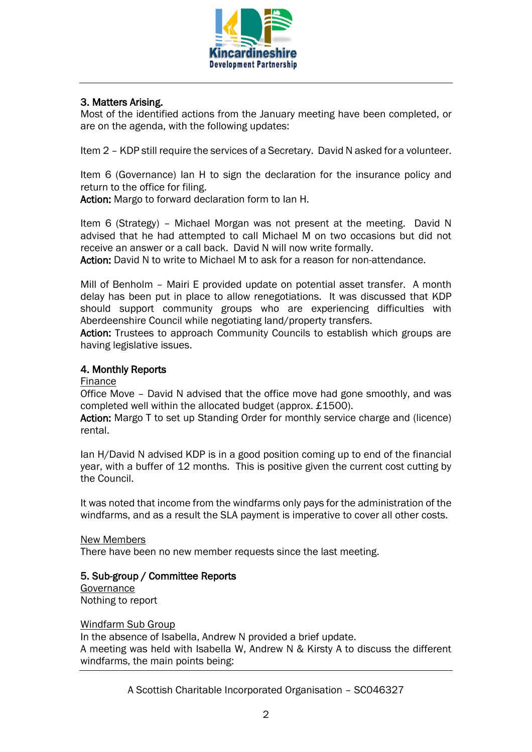

# 3. Matters Arising.

Most of the identified actions from the January meeting have been completed, or are on the agenda, with the following updates:

Item 2 – KDP still require the services of a Secretary. David N asked for a volunteer.

Item 6 (Governance) Ian H to sign the declaration for the insurance policy and return to the office for filing.

Action: Margo to forward declaration form to Ian H.

Item 6 (Strategy) – Michael Morgan was not present at the meeting. David N advised that he had attempted to call Michael M on two occasions but did not receive an answer or a call back. David N will now write formally.

Action: David N to write to Michael M to ask for a reason for non-attendance.

Mill of Benholm – Mairi E provided update on potential asset transfer. A month delay has been put in place to allow renegotiations. It was discussed that KDP should support community groups who are experiencing difficulties with Aberdeenshire Council while negotiating land/property transfers.

Action: Trustees to approach Community Councils to establish which groups are having legislative issues.

## 4. Monthly Reports

### Finance

Office Move – David N advised that the office move had gone smoothly, and was completed well within the allocated budget (approx. £1500).

Action: Margo T to set up Standing Order for monthly service charge and (licence) rental.

Ian H/David N advised KDP is in a good position coming up to end of the financial year, with a buffer of 12 months. This is positive given the current cost cutting by the Council.

It was noted that income from the windfarms only pays for the administration of the windfarms, and as a result the SLA payment is imperative to cover all other costs.

### New Members

There have been no new member requests since the last meeting.

### 5. Sub-group / Committee Reports

**Governance** Nothing to report

#### Windfarm Sub Group

In the absence of Isabella, Andrew N provided a brief update. A meeting was held with Isabella W, Andrew N & Kirsty A to discuss the different windfarms, the main points being:

A Scottish Charitable Incorporated Organisation – SC046327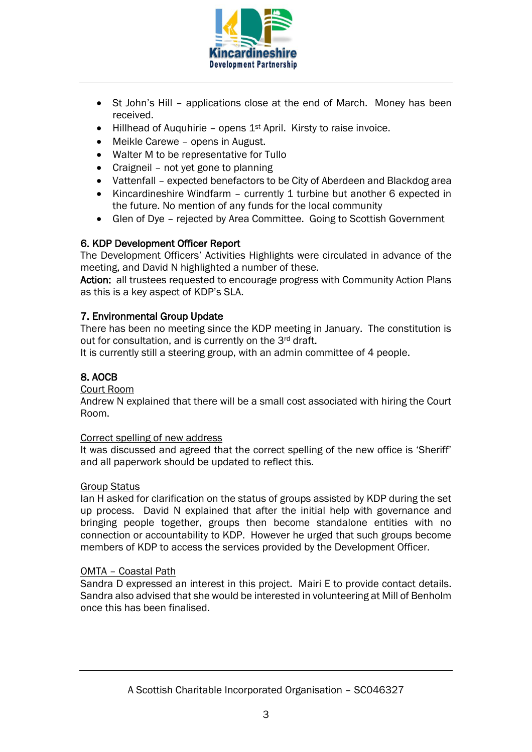

- St John's Hill applications close at the end of March. Money has been received.
- Hillhead of Auquhirie opens  $1<sup>st</sup>$  April. Kirsty to raise invoice.
- Meikle Carewe opens in August.
- Walter M to be representative for Tullo
- Craigneil not yet gone to planning
- Vattenfall expected benefactors to be City of Aberdeen and Blackdog area
- Kincardineshire Windfarm currently 1 turbine but another 6 expected in the future. No mention of any funds for the local community
- Glen of Dye rejected by Area Committee. Going to Scottish Government

# 6. KDP Development Officer Report

The Development Officers' Activities Highlights were circulated in advance of the meeting, and David N highlighted a number of these.

Action: all trustees requested to encourage progress with Community Action Plans as this is a key aspect of KDP's SLA.

## 7. Environmental Group Update

There has been no meeting since the KDP meeting in January. The constitution is out for consultation, and is currently on the 3rd draft.

It is currently still a steering group, with an admin committee of 4 people.

# 8. AOCB

### Court Room

Andrew N explained that there will be a small cost associated with hiring the Court Room.

### Correct spelling of new address

It was discussed and agreed that the correct spelling of the new office is 'Sheriff' and all paperwork should be updated to reflect this.

### Group Status

Ian H asked for clarification on the status of groups assisted by KDP during the set up process. David N explained that after the initial help with governance and bringing people together, groups then become standalone entities with no connection or accountability to KDP. However he urged that such groups become members of KDP to access the services provided by the Development Officer.

### OMTA – Coastal Path

Sandra D expressed an interest in this project. Mairi E to provide contact details. Sandra also advised that she would be interested in volunteering at Mill of Benholm once this has been finalised.